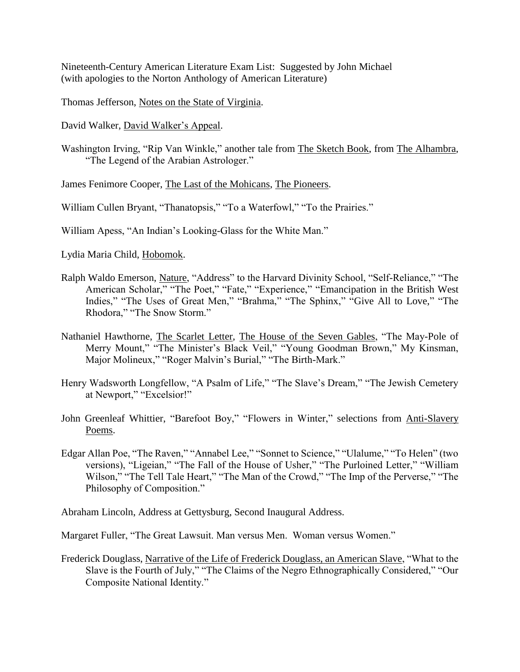Nineteenth-Century American Literature Exam List: Suggested by John Michael (with apologies to the Norton Anthology of American Literature)

Thomas Jefferson, Notes on the State of Virginia.

David Walker, David Walker's Appeal.

Washington Irving, "Rip Van Winkle," another tale from The Sketch Book, from The Alhambra, "The Legend of the Arabian Astrologer."

James Fenimore Cooper, The Last of the Mohicans, The Pioneers.

William Cullen Bryant, "Thanatopsis," "To a Waterfowl," "To the Prairies."

William Apess, "An Indian's Looking-Glass for the White Man."

Lydia Maria Child, Hobomok.

- Ralph Waldo Emerson, Nature, "Address" to the Harvard Divinity School, "Self-Reliance," "The American Scholar," "The Poet," "Fate," "Experience," "Emancipation in the British West Indies," "The Uses of Great Men," "Brahma," "The Sphinx," "Give All to Love," "The Rhodora," "The Snow Storm."
- Nathaniel Hawthorne, The Scarlet Letter, The House of the Seven Gables, "The May-Pole of Merry Mount," "The Minister's Black Veil," "Young Goodman Brown," My Kinsman, Major Molineux," "Roger Malvin's Burial," "The Birth-Mark."
- Henry Wadsworth Longfellow, "A Psalm of Life," "The Slave's Dream," "The Jewish Cemetery at Newport," "Excelsior!"
- John Greenleaf Whittier, "Barefoot Boy," "Flowers in Winter," selections from Anti-Slavery Poems.
- Edgar Allan Poe, "The Raven," "Annabel Lee," "Sonnet to Science," "Ulalume," "To Helen" (two versions), "Ligeian," "The Fall of the House of Usher," "The Purloined Letter," "William Wilson," "The Tell Tale Heart," "The Man of the Crowd," "The Imp of the Perverse," "The Philosophy of Composition."

Abraham Lincoln, Address at Gettysburg, Second Inaugural Address.

Margaret Fuller, "The Great Lawsuit. Man versus Men. Woman versus Women."

Frederick Douglass, Narrative of the Life of Frederick Douglass, an American Slave, "What to the Slave is the Fourth of July," "The Claims of the Negro Ethnographically Considered," "Our Composite National Identity."